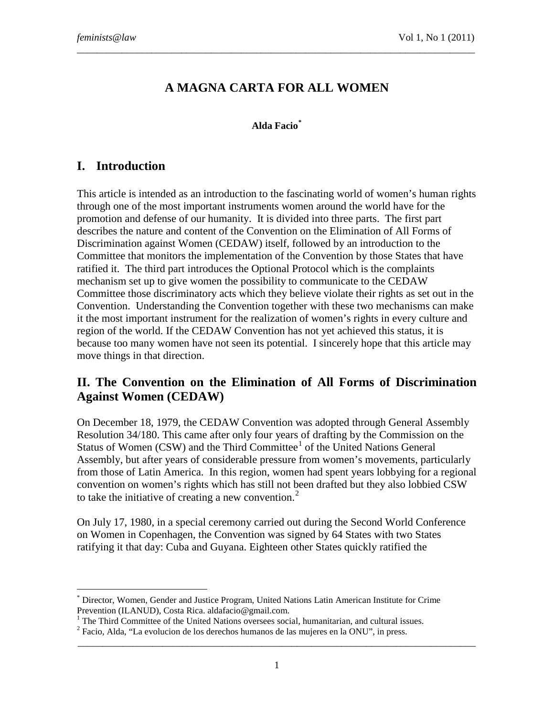# **A MAGNA CARTA FOR ALL WOMEN**

\_\_\_\_\_\_\_\_\_\_\_\_\_\_\_\_\_\_\_\_\_\_\_\_\_\_\_\_\_\_\_\_\_\_\_\_\_\_\_\_\_\_\_\_\_\_\_\_\_\_\_\_\_\_\_\_\_\_\_\_\_\_\_\_\_\_\_\_\_\_\_\_\_\_\_\_\_\_\_\_

#### **Alda Facio[\\*](#page-0-0)**

## **I. Introduction**

-

This article is intended as an introduction to the fascinating world of women's human rights through one of the most important instruments women around the world have for the promotion and defense of our humanity. It is divided into three parts. The first part describes the nature and content of the Convention on the Elimination of All Forms of Discrimination against Women (CEDAW) itself, followed by an introduction to the Committee that monitors the implementation of the Convention by those States that have ratified it. The third part introduces the Optional Protocol which is the complaints mechanism set up to give women the possibility to communicate to the CEDAW Committee those discriminatory acts which they believe violate their rights as set out in the Convention. Understanding the Convention together with these two mechanisms can make it the most important instrument for the realization of women's rights in every culture and region of the world. If the CEDAW Convention has not yet achieved this status, it is because too many women have not seen its potential. I sincerely hope that this article may move things in that direction.

## **II. The Convention on the Elimination of All Forms of Discrimination Against Women (CEDAW)**

On December 18, 1979, the CEDAW Convention was adopted through General Assembly Resolution 34/180. This came after only four years of drafting by the Commission on the Status of Women  $(CSW)$  and the Third Committee<sup>[1](#page-0-1)</sup> of the United Nations General Assembly, but after years of considerable pressure from women's movements, particularly from those of Latin America. In this region, women had spent years lobbying for a regional convention on women's rights which has still not been drafted but they also lobbied CSW to take the initiative of creating a new convention.<sup>[2](#page-0-2)</sup>

On July 17, 1980, in a special ceremony carried out during the Second World Conference on Women in Copenhagen, the Convention was signed by 64 States with two States ratifying it that day: Cuba and Guyana. Eighteen other States quickly ratified the

<span id="page-0-0"></span><sup>\*</sup> Director, Women, Gender and Justice Program, United Nations Latin American Institute for Crime

<span id="page-0-1"></span>Prevention (ILANUD), Costa Rica. aldafacio@gmail.com.<br>
<sup>1</sup> The Third Committee of the United Nations oversees social, humanitarian, and cultural issues.<br>
<sup>2</sup> Facio, Alda, "La evolucion de los derechos humanos de las mujer

<span id="page-0-2"></span>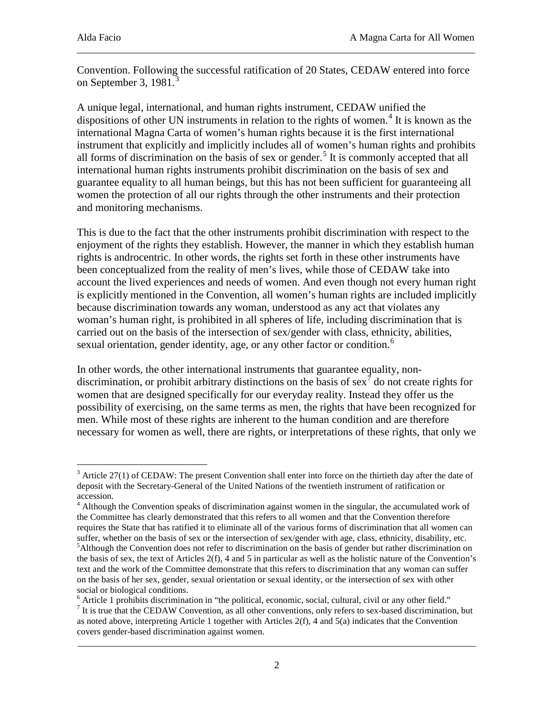Convention. Following the successful ratification of 20 States, CEDAW entered into force on September [3](#page-1-0), 1981. $3$ 

\_\_\_\_\_\_\_\_\_\_\_\_\_\_\_\_\_\_\_\_\_\_\_\_\_\_\_\_\_\_\_\_\_\_\_\_\_\_\_\_\_\_\_\_\_\_\_\_\_\_\_\_\_\_\_\_\_\_\_\_\_\_\_\_\_\_\_\_\_\_\_\_\_\_\_\_\_\_\_\_

A unique legal, international, and human rights instrument, CEDAW unified the dispositions of other UN instruments in relation to the rights of women.<sup>[4](#page-1-1)</sup> It is known as the international Magna Carta of women's human rights because it is the first international instrument that explicitly and implicitly includes all of women's human rights and prohibits all forms of discrimination on the basis of sex or gender.<sup>[5](#page-1-2)</sup> It is commonly accepted that all international human rights instruments prohibit discrimination on the basis of sex and guarantee equality to all human beings, but this has not been sufficient for guaranteeing all women the protection of all our rights through the other instruments and their protection and monitoring mechanisms.

This is due to the fact that the other instruments prohibit discrimination with respect to the enjoyment of the rights they establish. However, the manner in which they establish human rights is androcentric. In other words, the rights set forth in these other instruments have been conceptualized from the reality of men's lives, while those of CEDAW take into account the lived experiences and needs of women. And even though not every human right is explicitly mentioned in the Convention, all women's human rights are included implicitly because discrimination towards any woman, understood as any act that violates any woman's human right, is prohibited in all spheres of life, including discrimination that is carried out on the basis of the intersection of sex/gender with class, ethnicity, abilities, sexual orientation, gender identity, age, or any other factor or condition.<sup>[6](#page-1-3)</sup>

In other words, the other international instruments that guarantee equality, nondiscrimination, or prohibit arbitrary distinctions on the basis of sex<sup> $\tau$ </sup> do not create rights for women that are designed specifically for our everyday reality. Instead they offer us the possibility of exercising, on the same terms as men, the rights that have been recognized for men. While most of these rights are inherent to the human condition and are therefore necessary for women as well, there are rights, or interpretations of these rights, that only we

<span id="page-1-3"></span><sup>6</sup> Article 1 prohibits discrimination in "the political, economic, social, cultural, civil or any other field."

<span id="page-1-0"></span> $3$  Article 27(1) of CEDAW: The present Convention shall enter into force on the thirtieth day after the date of deposit with the Secretary-General of the United Nations of the twentieth instrument of ratification or accession.

<span id="page-1-2"></span><span id="page-1-1"></span><sup>&</sup>lt;sup>4</sup> Although the Convention speaks of discrimination against women in the singular, the accumulated work of the Committee has clearly demonstrated that this refers to all women and that the Convention therefore requires the State that has ratified it to eliminate all of the various forms of discrimination that all women can suffer, whether on the basis of sex or the intersection of sex/gender with age, class, ethnicity, disability, etc. <sup>5</sup>Although the Convention does not refer to discrimination on the basis of gender but rather discrimination on the basis of sex, the text of Articles  $2(f)$ , 4 and 5 in particular as well as the holistic nature of the Convention's text and the work of the Committee demonstrate that this refers to discrimination that any woman can suffer on the basis of her sex, gender, sexual orientation or sexual identity, or the intersection of sex with other social or biological conditions.

<span id="page-1-4"></span><sup>&</sup>lt;sup>7</sup> It is true that the CEDAW Convention, as all other conventions, only refers to sex-based discrimination, but as noted above, interpreting Article 1 together with Articles 2(f), 4 and 5(a) indicates that the Convention covers gender-based discrimination against women.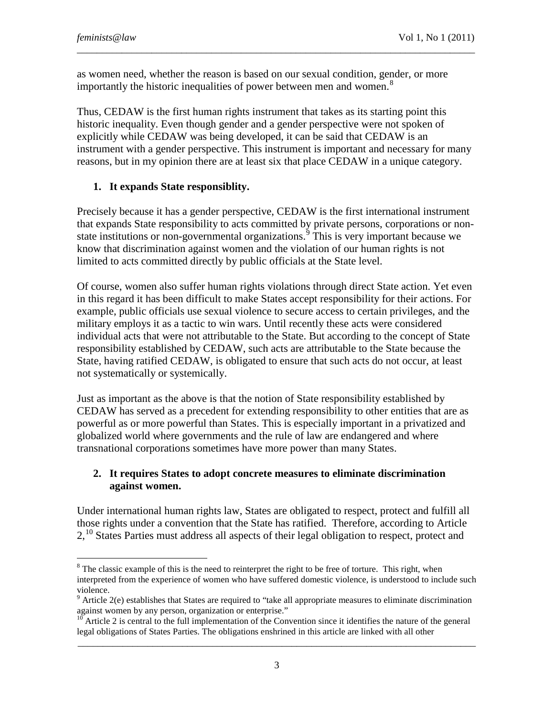as women need, whether the reason is based on our sexual condition, gender, or more importantly the historic inequalities of power between men and women.<sup>[8](#page-2-0)</sup>

Thus, CEDAW is the first human rights instrument that takes as its starting point this historic inequality. Even though gender and a gender perspective were not spoken of explicitly while CEDAW was being developed, it can be said that CEDAW is an instrument with a gender perspective. This instrument is important and necessary for many reasons, but in my opinion there are at least six that place CEDAW in a unique category.

\_\_\_\_\_\_\_\_\_\_\_\_\_\_\_\_\_\_\_\_\_\_\_\_\_\_\_\_\_\_\_\_\_\_\_\_\_\_\_\_\_\_\_\_\_\_\_\_\_\_\_\_\_\_\_\_\_\_\_\_\_\_\_\_\_\_\_\_\_\_\_\_\_\_\_\_\_\_\_\_

### **1. It expands State responsiblity.**

Precisely because it has a gender perspective, CEDAW is the first international instrument that expands State responsibility to acts committed by private persons, corporations or non-state institutions or non-governmental organizations.<sup>[9](#page-2-1)</sup> This is very important because we know that discrimination against women and the violation of our human rights is not limited to acts committed directly by public officials at the State level.

Of course, women also suffer human rights violations through direct State action. Yet even in this regard it has been difficult to make States accept responsibility for their actions. For example, public officials use sexual violence to secure access to certain privileges, and the military employs it as a tactic to win wars. Until recently these acts were considered individual acts that were not attributable to the State. But according to the concept of State responsibility established by CEDAW, such acts are attributable to the State because the State, having ratified CEDAW, is obligated to ensure that such acts do not occur, at least not systematically or systemically.

Just as important as the above is that the notion of State responsibility established by CEDAW has served as a precedent for extending responsibility to other entities that are as powerful as or more powerful than States. This is especially important in a privatized and globalized world where governments and the rule of law are endangered and where transnational corporations sometimes have more power than many States.

#### **2. It requires States to adopt concrete measures to eliminate discrimination against women.**

Under international human rights law, States are obligated to respect, protect and fulfill all those rights under a convention that the State has ratified. Therefore, according to Article 2,<sup>[10](#page-2-2)</sup> States Parties must address all aspects of their legal obligation to respect, protect and

<span id="page-2-0"></span> $8$  The classic example of this is the need to reinterpret the right to be free of torture. This right, when interpreted from the experience of women who have suffered domestic violence, is understood to include such violence.

<span id="page-2-1"></span> $9$  Article 2(e) establishes that States are required to "take all appropriate measures to eliminate discrimination against women by any person, organization or enterprise."

<span id="page-2-2"></span>\_\_\_\_\_\_\_\_\_\_\_\_\_\_\_\_\_\_\_\_\_\_\_\_\_\_\_\_\_\_\_\_\_\_\_\_\_\_\_\_\_\_\_\_\_\_\_\_\_\_\_\_\_\_\_\_\_\_\_\_\_\_\_\_\_\_\_\_\_\_\_\_\_\_\_\_\_\_\_\_ Article 2 is central to the full implementation of the Convention since it identifies the nature of the general legal obligations of States Parties. The obligations enshrined in this article are linked with all other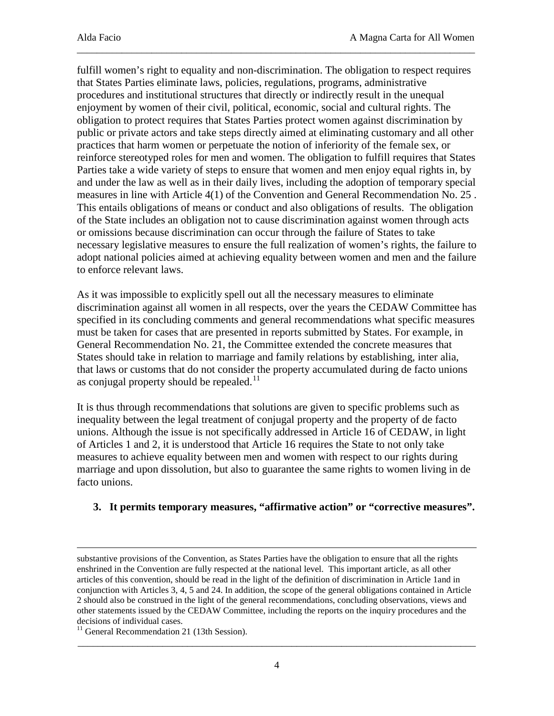fulfill women's right to equality and non-discrimination. The obligation to respect requires that States Parties eliminate laws, policies, regulations, programs, administrative procedures and institutional structures that directly or indirectly result in the unequal enjoyment by women of their civil, political, economic, social and cultural rights. The obligation to protect requires that States Parties protect women against discrimination by public or private actors and take steps directly aimed at eliminating customary and all other practices that harm women or perpetuate the notion of inferiority of the female sex, or reinforce stereotyped roles for men and women. The obligation to fulfill requires that States Parties take a wide variety of steps to ensure that women and men enjoy equal rights in, by and under the law as well as in their daily lives, including the adoption of temporary special measures in line with Article 4(1) of the Convention and General Recommendation No. 25 . This entails obligations of means or conduct and also obligations of results. The obligation of the State includes an obligation not to cause discrimination against women through acts or omissions because discrimination can occur through the failure of States to take necessary legislative measures to ensure the full realization of women's rights, the failure to adopt national policies aimed at achieving equality between women and men and the failure to enforce relevant laws.

\_\_\_\_\_\_\_\_\_\_\_\_\_\_\_\_\_\_\_\_\_\_\_\_\_\_\_\_\_\_\_\_\_\_\_\_\_\_\_\_\_\_\_\_\_\_\_\_\_\_\_\_\_\_\_\_\_\_\_\_\_\_\_\_\_\_\_\_\_\_\_\_\_\_\_\_\_\_\_\_

As it was impossible to explicitly spell out all the necessary measures to eliminate discrimination against all women in all respects, over the years the CEDAW Committee has specified in its concluding comments and general recommendations what specific measures must be taken for cases that are presented in reports submitted by States. For example, in General Recommendation No. 21, the Committee extended the concrete measures that States should take in relation to marriage and family relations by establishing, inter alia, that laws or customs that do not consider the property accumulated during de facto unions as conjugal property should be repealed.<sup>[11](#page-3-0)</sup>

It is thus through recommendations that solutions are given to specific problems such as inequality between the legal treatment of conjugal property and the property of de facto unions. Although the issue is not specifically addressed in Article 16 of CEDAW, in light of Articles 1 and 2, it is understood that Article 16 requires the State to not only take measures to achieve equality between men and women with respect to our rights during marriage and upon dissolution, but also to guarantee the same rights to women living in de facto unions.

### **3. It permits temporary measures, "affirmative action" or "corrective measures".**

-

substantive provisions of the Convention, as States Parties have the obligation to ensure that all the rights enshrined in the Convention are fully respected at the national level. This important article, as all other articles of this convention, should be read in the light of the definition of discrimination in Article 1and in conjunction with Articles 3, 4, 5 and 24. In addition, the scope of the general obligations contained in Article 2 should also be construed in the light of the general recommendations, concluding observations, views and other statements issued by the CEDAW Committee, including the reports on the inquiry procedures and the decisions of individual cases.

<span id="page-3-0"></span> $11$  General Recommendation 21 (13th Session).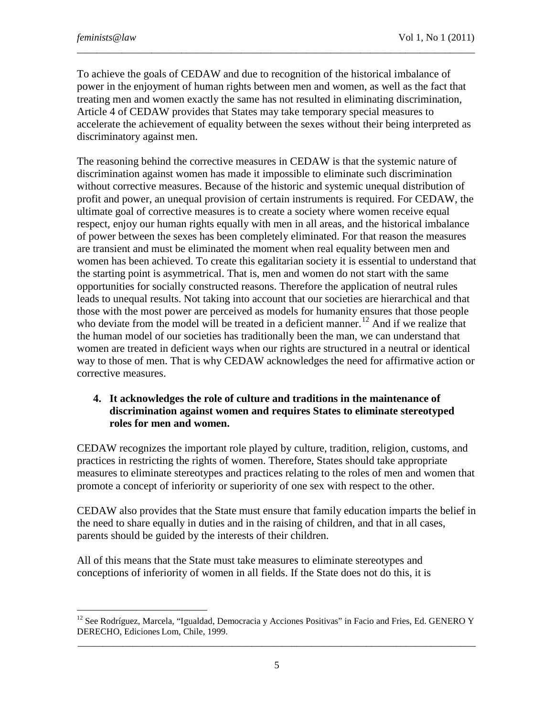To achieve the goals of CEDAW and due to recognition of the historical imbalance of power in the enjoyment of human rights between men and women, as well as the fact that treating men and women exactly the same has not resulted in eliminating discrimination, Article 4 of CEDAW provides that States may take temporary special measures to accelerate the achievement of equality between the sexes without their being interpreted as discriminatory against men.

\_\_\_\_\_\_\_\_\_\_\_\_\_\_\_\_\_\_\_\_\_\_\_\_\_\_\_\_\_\_\_\_\_\_\_\_\_\_\_\_\_\_\_\_\_\_\_\_\_\_\_\_\_\_\_\_\_\_\_\_\_\_\_\_\_\_\_\_\_\_\_\_\_\_\_\_\_\_\_\_

The reasoning behind the corrective measures in CEDAW is that the systemic nature of discrimination against women has made it impossible to eliminate such discrimination without corrective measures. Because of the historic and systemic unequal distribution of profit and power, an unequal provision of certain instruments is required. For CEDAW, the ultimate goal of corrective measures is to create a society where women receive equal respect, enjoy our human rights equally with men in all areas, and the historical imbalance of power between the sexes has been completely eliminated. For that reason the measures are transient and must be eliminated the moment when real equality between men and women has been achieved. To create this egalitarian society it is essential to understand that the starting point is asymmetrical. That is, men and women do not start with the same opportunities for socially constructed reasons. Therefore the application of neutral rules leads to unequal results. Not taking into account that our societies are hierarchical and that those with the most power are perceived as models for humanity ensures that those people who deviate from the model will be treated in a deficient manner.<sup>[12](#page-4-0)</sup> And if we realize that the human model of our societies has traditionally been the man, we can understand that women are treated in deficient ways when our rights are structured in a neutral or identical way to those of men. That is why CEDAW acknowledges the need for affirmative action or corrective measures.

#### **4. It acknowledges the role of culture and traditions in the maintenance of discrimination against women and requires States to eliminate stereotyped roles for men and women.**

CEDAW recognizes the important role played by culture, tradition, religion, customs, and practices in restricting the rights of women. Therefore, States should take appropriate measures to eliminate stereotypes and practices relating to the roles of men and women that promote a concept of inferiority or superiority of one sex with respect to the other.

CEDAW also provides that the State must ensure that family education imparts the belief in the need to share equally in duties and in the raising of children, and that in all cases, parents should be guided by the interests of their children.

All of this means that the State must take measures to eliminate stereotypes and conceptions of inferiority of women in all fields. If the State does not do this, it is

<span id="page-4-0"></span>\_\_\_\_\_\_\_\_\_\_\_\_\_\_\_\_\_\_\_\_\_\_\_\_\_\_\_\_\_\_\_\_\_\_\_\_\_\_\_\_\_\_\_\_\_\_\_\_\_\_\_\_\_\_\_\_\_\_\_\_\_\_\_\_\_\_\_\_\_\_\_\_\_\_\_\_\_\_\_\_  $12$  See Rodríguez, Marcela, "Igualdad, Democracia y Acciones Positivas" in Facio and Fries, Ed. GENERO Y DERECHO, Ediciones Lom, Chile, 1999.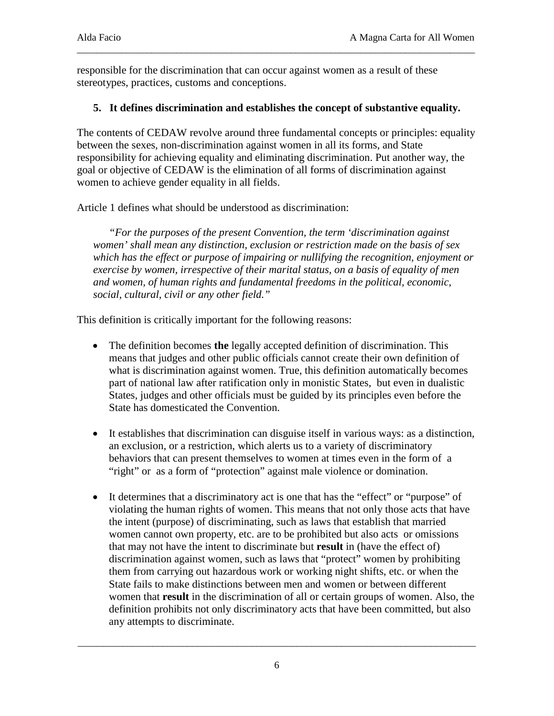responsible for the discrimination that can occur against women as a result of these stereotypes, practices, customs and conceptions.

### **5. It defines discrimination and establishes the concept of substantive equality.**

\_\_\_\_\_\_\_\_\_\_\_\_\_\_\_\_\_\_\_\_\_\_\_\_\_\_\_\_\_\_\_\_\_\_\_\_\_\_\_\_\_\_\_\_\_\_\_\_\_\_\_\_\_\_\_\_\_\_\_\_\_\_\_\_\_\_\_\_\_\_\_\_\_\_\_\_\_\_\_\_

The contents of CEDAW revolve around three fundamental concepts or principles: equality between the sexes, non-discrimination against women in all its forms, and State responsibility for achieving equality and eliminating discrimination. Put another way, the goal or objective of CEDAW is the elimination of all forms of discrimination against women to achieve gender equality in all fields.

Article 1 defines what should be understood as discrimination:

*"For the purposes of the present Convention, the term 'discrimination against women' shall mean any distinction, exclusion or restriction made on the basis of sex which has the effect or purpose of impairing or nullifying the recognition, enjoyment or exercise by women, irrespective of their marital status, on a basis of equality of men and women, of human rights and fundamental freedoms in the political, economic, social, cultural, civil or any other field."*

This definition is critically important for the following reasons:

- The definition becomes **the** legally accepted definition of discrimination. This means that judges and other public officials cannot create their own definition of what is discrimination against women. True, this definition automatically becomes part of national law after ratification only in monistic States, but even in dualistic States, judges and other officials must be guided by its principles even before the State has domesticated the Convention.
- It establishes that discrimination can disguise itself in various ways: as a distinction, an exclusion, or a restriction, which alerts us to a variety of discriminatory behaviors that can present themselves to women at times even in the form of a "right" or as a form of "protection" against male violence or domination.
- It determines that a discriminatory act is one that has the "effect" or "purpose" of violating the human rights of women. This means that not only those acts that have the intent (purpose) of discriminating, such as laws that establish that married women cannot own property, etc. are to be prohibited but also acts or omissions that may not have the intent to discriminate but **result** in (have the effect of) discrimination against women, such as laws that "protect" women by prohibiting them from carrying out hazardous work or working night shifts, etc. or when the State fails to make distinctions between men and women or between different women that **result** in the discrimination of all or certain groups of women. Also, the definition prohibits not only discriminatory acts that have been committed, but also any attempts to discriminate.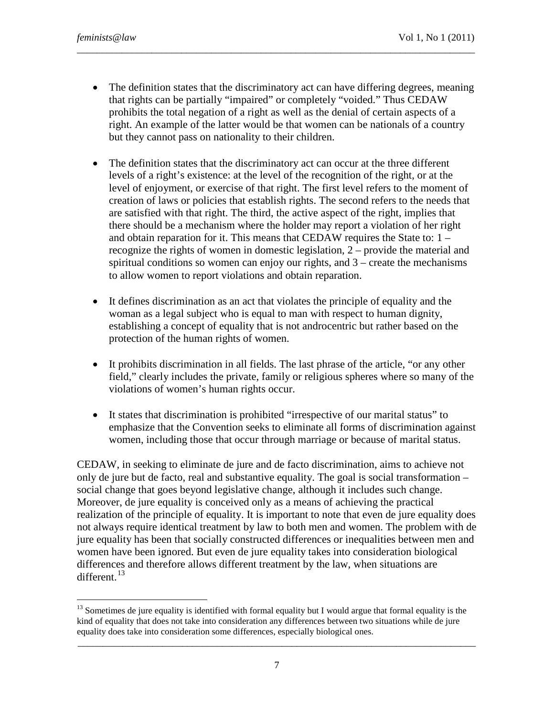• The definition states that the discriminatory act can have differing degrees, meaning that rights can be partially "impaired" or completely "voided." Thus CEDAW prohibits the total negation of a right as well as the denial of certain aspects of a right. An example of the latter would be that women can be nationals of a country but they cannot pass on nationality to their children.

\_\_\_\_\_\_\_\_\_\_\_\_\_\_\_\_\_\_\_\_\_\_\_\_\_\_\_\_\_\_\_\_\_\_\_\_\_\_\_\_\_\_\_\_\_\_\_\_\_\_\_\_\_\_\_\_\_\_\_\_\_\_\_\_\_\_\_\_\_\_\_\_\_\_\_\_\_\_\_\_

- The definition states that the discriminatory act can occur at the three different levels of a right's existence: at the level of the recognition of the right, or at the level of enjoyment, or exercise of that right. The first level refers to the moment of creation of laws or policies that establish rights. The second refers to the needs that are satisfied with that right. The third, the active aspect of the right, implies that there should be a mechanism where the holder may report a violation of her right and obtain reparation for it. This means that CEDAW requires the State to: 1 – recognize the rights of women in domestic legislation, 2 – provide the material and spiritual conditions so women can enjoy our rights, and 3 – create the mechanisms to allow women to report violations and obtain reparation.
- It defines discrimination as an act that violates the principle of equality and the woman as a legal subject who is equal to man with respect to human dignity, establishing a concept of equality that is not androcentric but rather based on the protection of the human rights of women.
- It prohibits discrimination in all fields. The last phrase of the article, "or any other field," clearly includes the private, family or religious spheres where so many of the violations of women's human rights occur.
- It states that discrimination is prohibited "irrespective of our marital status" to emphasize that the Convention seeks to eliminate all forms of discrimination against women, including those that occur through marriage or because of marital status.

CEDAW, in seeking to eliminate de jure and de facto discrimination, aims to achieve not only de jure but de facto, real and substantive equality. The goal is social transformation – social change that goes beyond legislative change, although it includes such change. Moreover, de jure equality is conceived only as a means of achieving the practical realization of the principle of equality. It is important to note that even de jure equality does not always require identical treatment by law to both men and women. The problem with de jure equality has been that socially constructed differences or inequalities between men and women have been ignored. But even de jure equality takes into consideration biological differences and therefore allows different treatment by the law, when situations are different.<sup>[13](#page-6-0)</sup>

<span id="page-6-0"></span> $<sup>13</sup>$  Sometimes de jure equality is identified with formal equality but I would argue that formal equality is the</sup> kind of equality that does not take into consideration any differences between two situations while de jure equality does take into consideration some differences, especially biological ones.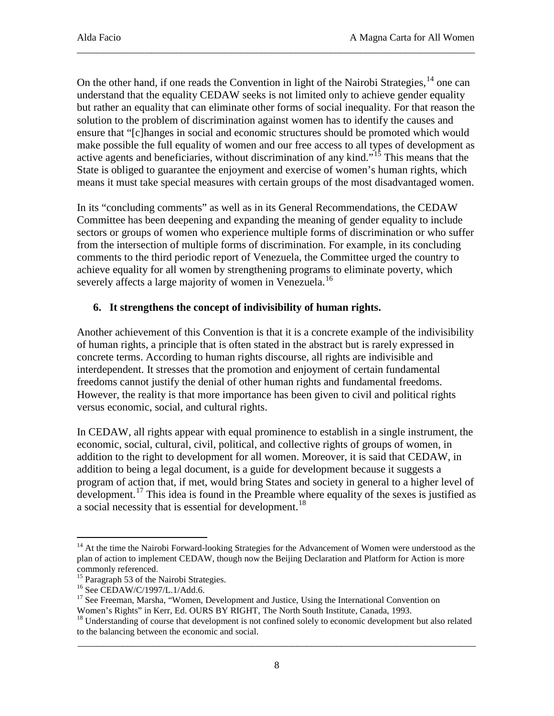On the other hand, if one reads the Convention in light of the Nairobi Strategies, <sup>[14](#page-7-0)</sup> one can understand that the equality CEDAW seeks is not limited only to achieve gender equality but rather an equality that can eliminate other forms of social inequality. For that reason the solution to the problem of discrimination against women has to identify the causes and ensure that "[c]hanges in social and economic structures should be promoted which would make possible the full equality of women and our free access to all types of development as active agents and beneficiaries, without discrimination of any kind."<sup>[15](#page-7-1)</sup> This means that the State is obliged to guarantee the enjoyment and exercise of women's human rights, which means it must take special measures with certain groups of the most disadvantaged women.

\_\_\_\_\_\_\_\_\_\_\_\_\_\_\_\_\_\_\_\_\_\_\_\_\_\_\_\_\_\_\_\_\_\_\_\_\_\_\_\_\_\_\_\_\_\_\_\_\_\_\_\_\_\_\_\_\_\_\_\_\_\_\_\_\_\_\_\_\_\_\_\_\_\_\_\_\_\_\_\_

In its "concluding comments" as well as in its General Recommendations, the CEDAW Committee has been deepening and expanding the meaning of gender equality to include sectors or groups of women who experience multiple forms of discrimination or who suffer from the intersection of multiple forms of discrimination. For example, in its concluding comments to the third periodic report of Venezuela, the Committee urged the country to achieve equality for all women by strengthening programs to eliminate poverty, which severely affects a large majority of women in Venezuela.<sup>[16](#page-7-2)</sup>

### **6. It strengthens the concept of indivisibility of human rights.**

Another achievement of this Convention is that it is a concrete example of the indivisibility of human rights, a principle that is often stated in the abstract but is rarely expressed in concrete terms. According to human rights discourse, all rights are indivisible and interdependent. It stresses that the promotion and enjoyment of certain fundamental freedoms cannot justify the denial of other human rights and fundamental freedoms. However, the reality is that more importance has been given to civil and political rights versus economic, social, and cultural rights.

In CEDAW, all rights appear with equal prominence to establish in a single instrument, the economic, social, cultural, civil, political, and collective rights of groups of women, in addition to the right to development for all women. Moreover, it is said that CEDAW, in addition to being a legal document, is a guide for development because it suggests a program of action that, if met, would bring States and society in general to a higher level of development.<sup>[17](#page-7-3)</sup> This idea is found in the Preamble where equality of the sexes is justified as a social necessity that is essential for development.<sup>[18](#page-7-4)</sup>

<span id="page-7-0"></span><sup>&</sup>lt;sup>14</sup> At the time the Nairobi Forward-looking Strategies for the Advancement of Women were understood as the plan of action to implement CEDAW, though now the Beijing Declaration and Platform for Action is more

<span id="page-7-1"></span>commonly referenced.<br><sup>15</sup> Paragraph 53 of the Nairobi Strategies.

<span id="page-7-3"></span><span id="page-7-2"></span><sup>&</sup>lt;sup>16</sup> See CEDAW/C/1997/L.1/Add.6.  $\frac{17}{17}$  See Freeman, Marsha, "Women, Development and Justice, Using the International Convention on Women's Rights" in Kerr, Ed. OURS BY RIGHT, The North South Institute, Canada, 1993.

<span id="page-7-4"></span>\_\_\_\_\_\_\_\_\_\_\_\_\_\_\_\_\_\_\_\_\_\_\_\_\_\_\_\_\_\_\_\_\_\_\_\_\_\_\_\_\_\_\_\_\_\_\_\_\_\_\_\_\_\_\_\_\_\_\_\_\_\_\_\_\_\_\_\_\_\_\_\_\_\_\_\_\_\_\_\_  $18$  Understanding of course that development is not confined solely to economic development but also related to the balancing between the economic and social.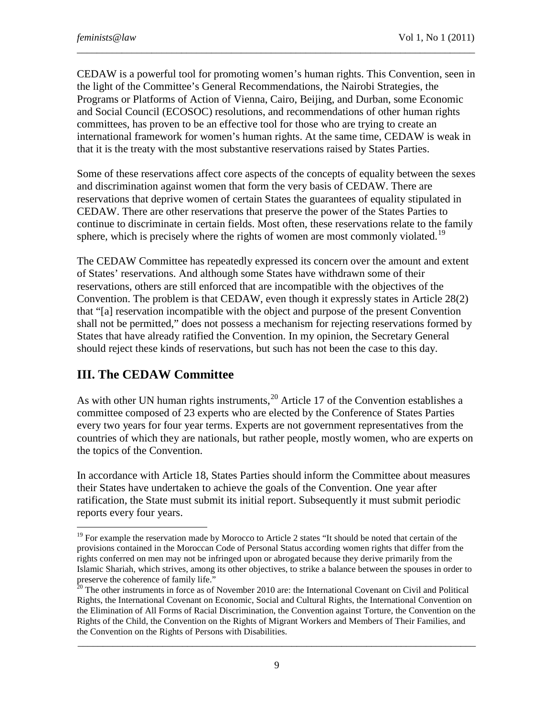CEDAW is a powerful tool for promoting women's human rights. This Convention, seen in the light of the Committee's General Recommendations, the Nairobi Strategies, the Programs or Platforms of Action of Vienna, Cairo, Beijing, and Durban, some Economic and Social Council (ECOSOC) resolutions, and recommendations of other human rights committees, has proven to be an effective tool for those who are trying to create an international framework for women's human rights. At the same time, CEDAW is weak in that it is the treaty with the most substantive reservations raised by States Parties.

\_\_\_\_\_\_\_\_\_\_\_\_\_\_\_\_\_\_\_\_\_\_\_\_\_\_\_\_\_\_\_\_\_\_\_\_\_\_\_\_\_\_\_\_\_\_\_\_\_\_\_\_\_\_\_\_\_\_\_\_\_\_\_\_\_\_\_\_\_\_\_\_\_\_\_\_\_\_\_\_

Some of these reservations affect core aspects of the concepts of equality between the sexes and discrimination against women that form the very basis of CEDAW. There are reservations that deprive women of certain States the guarantees of equality stipulated in CEDAW. There are other reservations that preserve the power of the States Parties to continue to discriminate in certain fields. Most often, these reservations relate to the family sphere, which is precisely where the rights of women are most commonly violated.<sup>[19](#page-8-0)</sup>

The CEDAW Committee has repeatedly expressed its concern over the amount and extent of States' reservations. And although some States have withdrawn some of their reservations, others are still enforced that are incompatible with the objectives of the Convention. The problem is that CEDAW, even though it expressly states in Article 28(2) that "[a] reservation incompatible with the object and purpose of the present Convention shall not be permitted," does not possess a mechanism for rejecting reservations formed by States that have already ratified the Convention. In my opinion, the Secretary General should reject these kinds of reservations, but such has not been the case to this day.

## **III. The CEDAW Committee**

-

As with other UN human rights instruments,  $^{20}$  $^{20}$  $^{20}$  Article 17 of the Convention establishes a committee composed of 23 experts who are elected by the Conference of States Parties every two years for four year terms. Experts are not government representatives from the countries of which they are nationals, but rather people, mostly women, who are experts on the topics of the Convention.

In accordance with Article 18, States Parties should inform the Committee about measures their States have undertaken to achieve the goals of the Convention. One year after ratification, the State must submit its initial report. Subsequently it must submit periodic reports every four years.

<span id="page-8-0"></span> $19$  For example the reservation made by Morocco to Article 2 states "It should be noted that certain of the provisions contained in the Moroccan Code of Personal Status according women rights that differ from the rights conferred on men may not be infringed upon or abrogated because they derive primarily from the Islamic Shariah, which strives, among its other objectives, to strike a balance between the spouses in order to preserve the coherence of family life."

<span id="page-8-1"></span><sup>&</sup>lt;sup>20</sup> The other instruments in force as of November 2010 are: the International Covenant on Civil and Political Rights, the International Covenant on Economic, Social and Cultural Rights, the International Convention on the Elimination of All Forms of Racial Discrimination, the Convention against Torture, the Convention on the Rights of the Child, the Convention on the Rights of Migrant Workers and Members of Their Families, and the Convention on the Rights of Persons with Disabilities.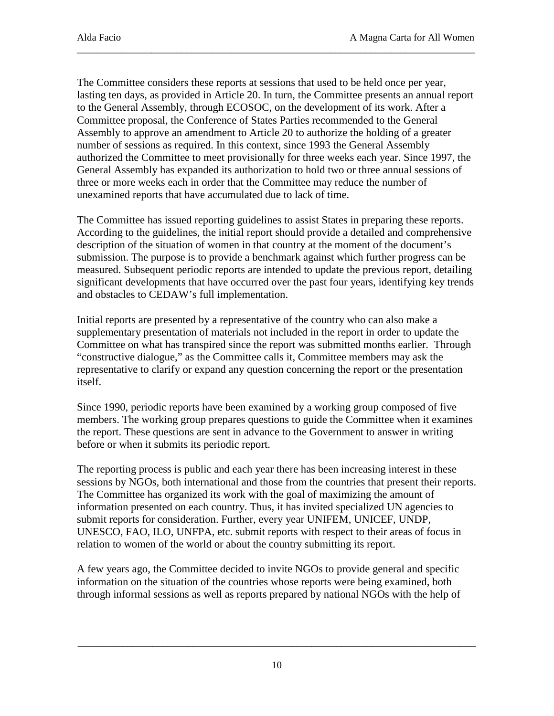The Committee considers these reports at sessions that used to be held once per year, lasting ten days, as provided in Article 20. In turn, the Committee presents an annual report to the General Assembly, through ECOSOC, on the development of its work. After a Committee proposal, the Conference of States Parties recommended to the General Assembly to approve an amendment to Article 20 to authorize the holding of a greater number of sessions as required. In this context, since 1993 the General Assembly authorized the Committee to meet provisionally for three weeks each year. Since 1997, the General Assembly has expanded its authorization to hold two or three annual sessions of three or more weeks each in order that the Committee may reduce the number of unexamined reports that have accumulated due to lack of time.

\_\_\_\_\_\_\_\_\_\_\_\_\_\_\_\_\_\_\_\_\_\_\_\_\_\_\_\_\_\_\_\_\_\_\_\_\_\_\_\_\_\_\_\_\_\_\_\_\_\_\_\_\_\_\_\_\_\_\_\_\_\_\_\_\_\_\_\_\_\_\_\_\_\_\_\_\_\_\_\_

The Committee has issued reporting guidelines to assist States in preparing these reports. According to the guidelines, the initial report should provide a detailed and comprehensive description of the situation of women in that country at the moment of the document's submission. The purpose is to provide a benchmark against which further progress can be measured. Subsequent periodic reports are intended to update the previous report, detailing significant developments that have occurred over the past four years, identifying key trends and obstacles to CEDAW's full implementation.

Initial reports are presented by a representative of the country who can also make a supplementary presentation of materials not included in the report in order to update the Committee on what has transpired since the report was submitted months earlier. Through "constructive dialogue," as the Committee calls it, Committee members may ask the representative to clarify or expand any question concerning the report or the presentation itself.

Since 1990, periodic reports have been examined by a working group composed of five members. The working group prepares questions to guide the Committee when it examines the report. These questions are sent in advance to the Government to answer in writing before or when it submits its periodic report.

The reporting process is public and each year there has been increasing interest in these sessions by NGOs, both international and those from the countries that present their reports. The Committee has organized its work with the goal of maximizing the amount of information presented on each country. Thus, it has invited specialized UN agencies to submit reports for consideration. Further, every year UNIFEM, UNICEF, UNDP, UNESCO, FAO, ILO, UNFPA, etc. submit reports with respect to their areas of focus in relation to women of the world or about the country submitting its report.

A few years ago, the Committee decided to invite NGOs to provide general and specific information on the situation of the countries whose reports were being examined, both through informal sessions as well as reports prepared by national NGOs with the help of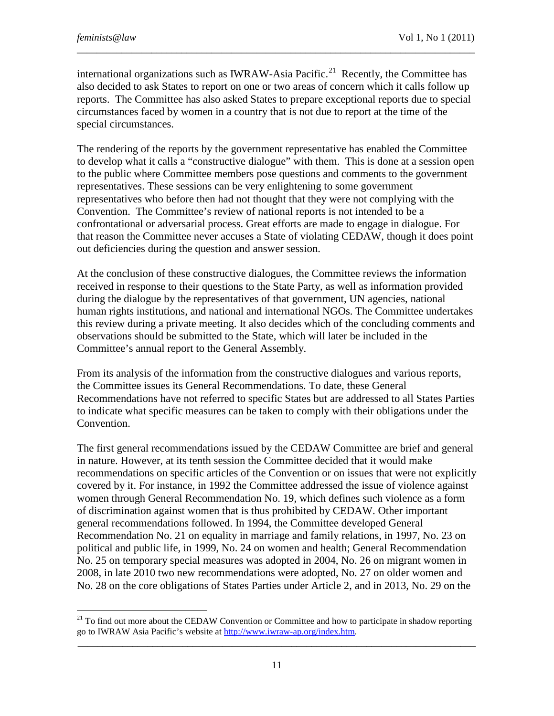international organizations such as IWRAW-Asia Pacific.<sup>21</sup> Recently, the Committee has also decided to ask States to report on one or two areas of concern which it calls follow up reports. The Committee has also asked States to prepare exceptional reports due to special circumstances faced by women in a country that is not due to report at the time of the special circumstances.

\_\_\_\_\_\_\_\_\_\_\_\_\_\_\_\_\_\_\_\_\_\_\_\_\_\_\_\_\_\_\_\_\_\_\_\_\_\_\_\_\_\_\_\_\_\_\_\_\_\_\_\_\_\_\_\_\_\_\_\_\_\_\_\_\_\_\_\_\_\_\_\_\_\_\_\_\_\_\_\_

The rendering of the reports by the government representative has enabled the Committee to develop what it calls a "constructive dialogue" with them. This is done at a session open to the public where Committee members pose questions and comments to the government representatives. These sessions can be very enlightening to some government representatives who before then had not thought that they were not complying with the Convention. The Committee's review of national reports is not intended to be a confrontational or adversarial process. Great efforts are made to engage in dialogue. For that reason the Committee never accuses a State of violating CEDAW, though it does point out deficiencies during the question and answer session.

At the conclusion of these constructive dialogues, the Committee reviews the information received in response to their questions to the State Party, as well as information provided during the dialogue by the representatives of that government, UN agencies, national human rights institutions, and national and international NGOs. The Committee undertakes this review during a private meeting. It also decides which of the concluding comments and observations should be submitted to the State, which will later be included in the Committee's annual report to the General Assembly.

From its analysis of the information from the constructive dialogues and various reports, the Committee issues its General Recommendations. To date, these General Recommendations have not referred to specific States but are addressed to all States Parties to indicate what specific measures can be taken to comply with their obligations under the Convention.

The first general recommendations issued by the CEDAW Committee are brief and general in nature. However, at its tenth session the Committee decided that it would make recommendations on specific articles of the Convention or on issues that were not explicitly covered by it. For instance, in 1992 the Committee addressed the issue of violence against women through General Recommendation No. 19, which defines such violence as a form of discrimination against women that is thus prohibited by CEDAW. Other important general recommendations followed. In 1994, the Committee developed General Recommendation No. 21 on equality in marriage and family relations, in 1997, No. 23 on political and public life, in 1999, No. 24 on women and health; General Recommendation No. 25 on temporary special measures was adopted in 2004, No. 26 on migrant women in 2008, in late 2010 two new recommendations were adopted, No. 27 on older women and No. 28 on the core obligations of States Parties under Article 2, and in 2013, No. 29 on the

<span id="page-10-0"></span>\_\_\_\_\_\_\_\_\_\_\_\_\_\_\_\_\_\_\_\_\_\_\_\_\_\_\_\_\_\_\_\_\_\_\_\_\_\_\_\_\_\_\_\_\_\_\_\_\_\_\_\_\_\_\_\_\_\_\_\_\_\_\_\_\_\_\_\_\_\_\_\_\_\_\_\_\_\_\_\_  $^{21}$  To find out more about the CEDAW Convention or Committee and how to participate in shadow reporting go to IWRAW Asia Pacific's website a[t http://www.iwraw-ap.org/index.htm.](http://www.iwraw-ap.org/index.htm)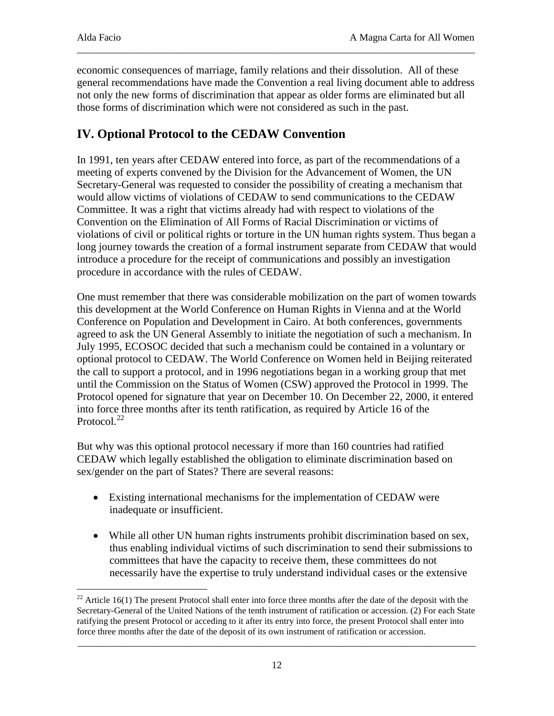economic consequences of marriage, family relations and their dissolution. All of these general recommendations have made the Convention a real living document able to address not only the new forms of discrimination that appear as older forms are eliminated but all those forms of discrimination which were not considered as such in the past.

\_\_\_\_\_\_\_\_\_\_\_\_\_\_\_\_\_\_\_\_\_\_\_\_\_\_\_\_\_\_\_\_\_\_\_\_\_\_\_\_\_\_\_\_\_\_\_\_\_\_\_\_\_\_\_\_\_\_\_\_\_\_\_\_\_\_\_\_\_\_\_\_\_\_\_\_\_\_\_\_

# **IV. Optional Protocol to the CEDAW Convention**

In 1991, ten years after CEDAW entered into force, as part of the recommendations of a meeting of experts convened by the Division for the Advancement of Women, the UN Secretary-General was requested to consider the possibility of creating a mechanism that would allow victims of violations of CEDAW to send communications to the CEDAW Committee. It was a right that victims already had with respect to violations of the Convention on the Elimination of All Forms of Racial Discrimination or victims of violations of civil or political rights or torture in the UN human rights system. Thus began a long journey towards the creation of a formal instrument separate from CEDAW that would introduce a procedure for the receipt of communications and possibly an investigation procedure in accordance with the rules of CEDAW.

One must remember that there was considerable mobilization on the part of women towards this development at the World Conference on Human Rights in Vienna and at the World Conference on Population and Development in Cairo. At both conferences, governments agreed to ask the UN General Assembly to initiate the negotiation of such a mechanism. In July 1995, ECOSOC decided that such a mechanism could be contained in a voluntary or optional protocol to CEDAW. The World Conference on Women held in Beijing reiterated the call to support a protocol, and in 1996 negotiations began in a working group that met until the Commission on the Status of Women (CSW) approved the Protocol in 1999. The Protocol opened for signature that year on December 10. On December 22, 2000, it entered into force three months after its tenth ratification, as required by Article 16 of the Protocol.<sup>[22](#page-11-0)</sup>

But why was this optional protocol necessary if more than 160 countries had ratified CEDAW which legally established the obligation to eliminate discrimination based on sex/gender on the part of States? There are several reasons:

- Existing international mechanisms for the implementation of CEDAW were inadequate or insufficient.
- While all other UN human rights instruments prohibit discrimination based on sex, thus enabling individual victims of such discrimination to send their submissions to committees that have the capacity to receive them, these committees do not necessarily have the expertise to truly understand individual cases or the extensive

<span id="page-11-0"></span><sup>&</sup>lt;sup>22</sup> Article 16(1) The present Protocol shall enter into force three months after the date of the deposit with the Secretary-General of the United Nations of the tenth instrument of ratification or accession. (2) For each State ratifying the present Protocol or acceding to it after its entry into force, the present Protocol shall enter into force three months after the date of the deposit of its own instrument of ratification or accession.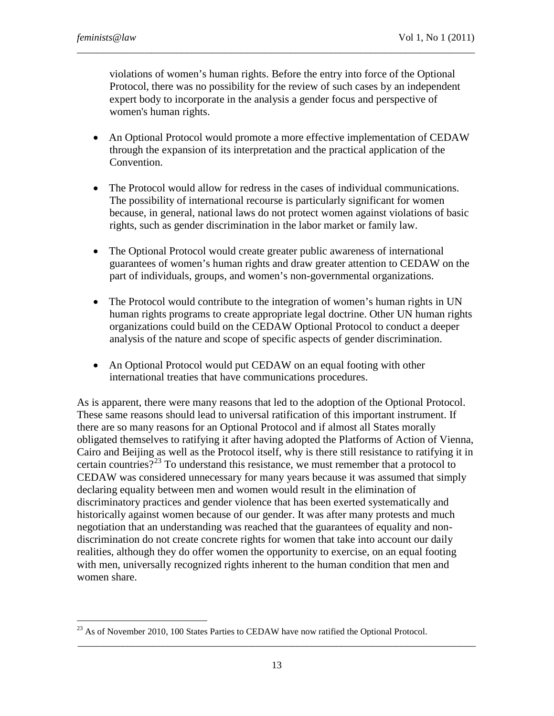violations of women's human rights. Before the entry into force of the Optional Protocol, there was no possibility for the review of such cases by an independent expert body to incorporate in the analysis a gender focus and perspective of women's human rights.

\_\_\_\_\_\_\_\_\_\_\_\_\_\_\_\_\_\_\_\_\_\_\_\_\_\_\_\_\_\_\_\_\_\_\_\_\_\_\_\_\_\_\_\_\_\_\_\_\_\_\_\_\_\_\_\_\_\_\_\_\_\_\_\_\_\_\_\_\_\_\_\_\_\_\_\_\_\_\_\_

- An Optional Protocol would promote a more effective implementation of CEDAW through the expansion of its interpretation and the practical application of the Convention.
- The Protocol would allow for redress in the cases of individual communications. The possibility of international recourse is particularly significant for women because, in general, national laws do not protect women against violations of basic rights, such as gender discrimination in the labor market or family law.
- The Optional Protocol would create greater public awareness of international guarantees of women's human rights and draw greater attention to CEDAW on the part of individuals, groups, and women's non-governmental organizations.
- The Protocol would contribute to the integration of women's human rights in UN human rights programs to create appropriate legal doctrine. Other UN human rights organizations could build on the CEDAW Optional Protocol to conduct a deeper analysis of the nature and scope of specific aspects of gender discrimination.
- An Optional Protocol would put CEDAW on an equal footing with other international treaties that have communications procedures.

As is apparent, there were many reasons that led to the adoption of the Optional Protocol. These same reasons should lead to universal ratification of this important instrument. If there are so many reasons for an Optional Protocol and if almost all States morally obligated themselves to ratifying it after having adopted the Platforms of Action of Vienna, Cairo and Beijing as well as the Protocol itself, why is there still resistance to ratifying it in certain countries?<sup>[23](#page-12-0)</sup> To understand this resistance, we must remember that a protocol to CEDAW was considered unnecessary for many years because it was assumed that simply declaring equality between men and women would result in the elimination of discriminatory practices and gender violence that has been exerted systematically and historically against women because of our gender. It was after many protests and much negotiation that an understanding was reached that the guarantees of equality and nondiscrimination do not create concrete rights for women that take into account our daily realities, although they do offer women the opportunity to exercise, on an equal footing with men, universally recognized rights inherent to the human condition that men and women share.

<span id="page-12-0"></span> $^{23}$  As of November 2010, 100 States Parties to CEDAW have now ratified the Optional Protocol.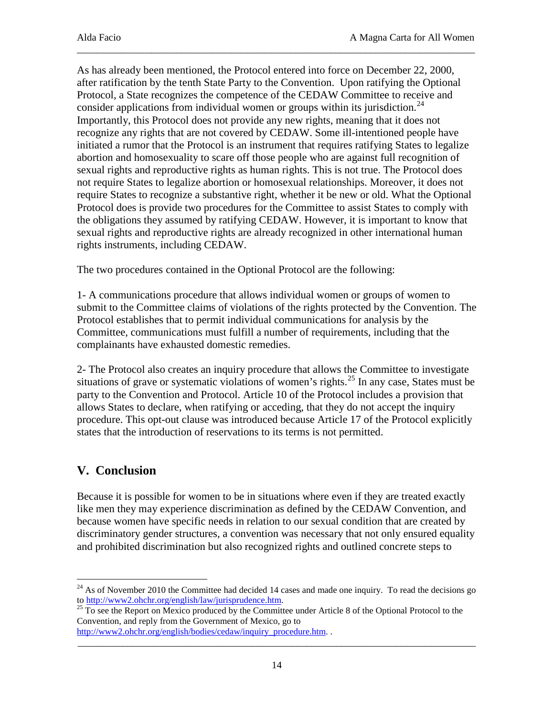As has already been mentioned, the Protocol entered into force on December 22, 2000, after ratification by the tenth State Party to the Convention. Upon ratifying the Optional Protocol, a State recognizes the competence of the CEDAW Committee to receive and consider applications from individual women or groups within its jurisdiction.<sup>[24](#page-13-0)</sup> Importantly, this Protocol does not provide any new rights, meaning that it does not recognize any rights that are not covered by CEDAW. Some ill-intentioned people have initiated a rumor that the Protocol is an instrument that requires ratifying States to legalize abortion and homosexuality to scare off those people who are against full recognition of sexual rights and reproductive rights as human rights. This is not true. The Protocol does not require States to legalize abortion or homosexual relationships. Moreover, it does not require States to recognize a substantive right, whether it be new or old. What the Optional Protocol does is provide two procedures for the Committee to assist States to comply with the obligations they assumed by ratifying CEDAW. However, it is important to know that sexual rights and reproductive rights are already recognized in other international human rights instruments, including CEDAW.

\_\_\_\_\_\_\_\_\_\_\_\_\_\_\_\_\_\_\_\_\_\_\_\_\_\_\_\_\_\_\_\_\_\_\_\_\_\_\_\_\_\_\_\_\_\_\_\_\_\_\_\_\_\_\_\_\_\_\_\_\_\_\_\_\_\_\_\_\_\_\_\_\_\_\_\_\_\_\_\_

The two procedures contained in the Optional Protocol are the following:

1- A communications procedure that allows individual women or groups of women to submit to the Committee claims of violations of the rights protected by the Convention. The Protocol establishes that to permit individual communications for analysis by the Committee, communications must fulfill a number of requirements, including that the complainants have exhausted domestic remedies.

2- The Protocol also creates an inquiry procedure that allows the Committee to investigate situations of grave or systematic violations of women's rights.<sup>[25](#page-13-1)</sup> In any case, States must be party to the Convention and Protocol. Article 10 of the Protocol includes a provision that allows States to declare, when ratifying or acceding, that they do not accept the inquiry procedure. This opt-out clause was introduced because Article 17 of the Protocol explicitly states that the introduction of reservations to its terms is not permitted.

## **V. Conclusion**

Because it is possible for women to be in situations where even if they are treated exactly like men they may experience discrimination as defined by the CEDAW Convention, and because women have specific needs in relation to our sexual condition that are created by discriminatory gender structures, a convention was necessary that not only ensured equality and prohibited discrimination but also recognized rights and outlined concrete steps to

<span id="page-13-0"></span><sup>-</sup><sup>24</sup> As of November 2010 the Committee had decided 14 cases and made one inquiry. To read the decisions go to http://www2.ohchr.org/english/law/jurisprudence.htm.

<span id="page-13-1"></span><sup>&</sup>lt;sup>25</sup> To see the Report on Mexico produced by the Committee under Article 8 of the Optional Protocol to the Convention, and reply from the Government of Mexico, go to

[http://www2.ohchr.org/english/bodies/cedaw/inquiry\\_procedure.htm.](http://www2.ohchr.org/english/bodies/cedaw/inquiry_procedure.htm) .